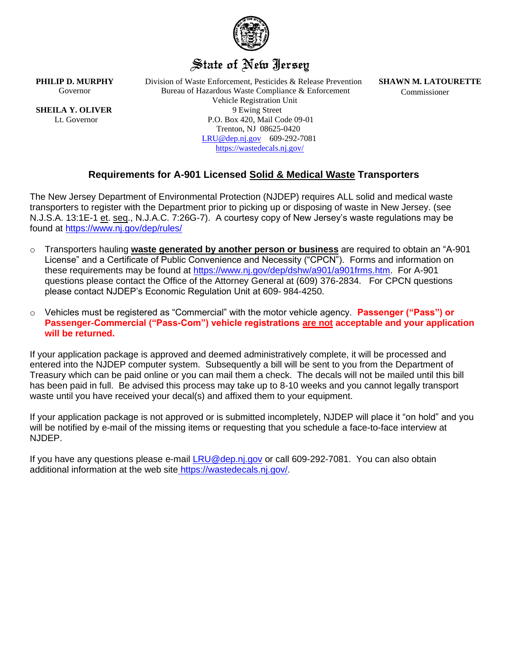

# State of New Jersey

**SHEILA Y. OLIVER** 

**PHILIP D. MURPHY** Division of Waste Enforcement, Pesticides & Release Prevention **SHAWN M. LATOURETTE** Governor **Bureau of Hazardous Waste Compliance & Enforcement** Commissioner Vehicle Registration Unit Lt. Governor P.O. Box 420, Mail Code 09-01 Trenton, NJ 08625-0420 [LRU@dep.nj.gov](mailto:LRU@dep.nj.gov) 609-292-7081 <https://wastedecals.nj.gov/>

# **Requirements for A-901 Licensed Solid & Medical Waste Transporters**

The New Jersey Department of Environmental Protection (NJDEP) requires ALL solid and medical waste transporters to register with the Department prior to picking up or disposing of waste in New Jersey. (see N.J.S.A. 13:1E-1 et. seq., N.J.A.C. 7:26G-7). A courtesy copy of New Jersey's waste regulations may be found at <https://www.nj.gov/dep/rules/>

- o Transporters hauling **waste generated by another person or business** are required to obtain an "A-901 License" and a Certificate of Public Convenience and Necessity ("CPCN"). Forms and information on these requirements may be found at [https://www.nj.gov/dep/dshw/a901/a901frms.htm.](https://www.nj.gov/dep/dshw/a901/a901frms.htm) For A-901 questions please contact the Office of the Attorney General at (609) 376-2834. For CPCN questions please contact NJDEP's Economic Regulation Unit at 609- 984-4250.
- o Vehicles must be registered as "Commercial" with the motor vehicle agency. **Passenger ("Pass") or Passenger-Commercial ("Pass-Com") vehicle registrations are not acceptable and your application will be returned.**

If your application package is approved and deemed administratively complete, it will be processed and entered into the NJDEP computer system. Subsequently a bill will be sent to you from the Department of Treasury which can be paid online or you can mail them a check. The decals will not be mailed until this bill has been paid in full. Be advised this process may take up to 8-10 weeks and you cannot legally transport waste until you have received your decal(s) and affixed them to your equipment.

If your application package is not approved or is submitted incompletely, NJDEP will place it "on hold" and you will be notified by e-mail of the missing items or requesting that you schedule a face-to-face interview at NJDEP.

If you have any questions please e-mail [LRU@dep.nj.gov](mailto:LRU@dep.nj.gov) or call 609-292-7081. You can also obtain additional information at the web site https://wastedecals.nj.gov/.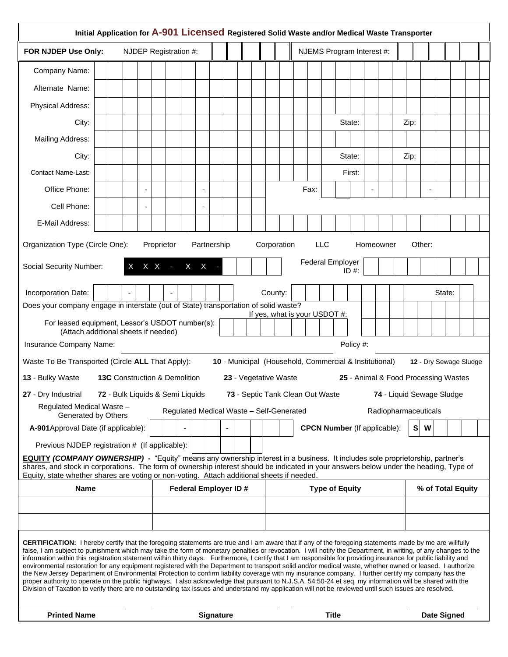| Initial Application for A-901 Licensed Registered Solid Waste and/or Medical Waste Transporter                                                                                                                                                                                                                                                                                                                                                                                                                                                                                                                                                                                                                                                                                                                                                                                                                                                                                                                                                                                                                                              |  |  |                   |                                     |                       |                                          |  |  |  |                                  |                                     |                       |              |                           |  |  |                                                        |        |             |                                      |                   |  |      |                           |  |  |  |  |
|---------------------------------------------------------------------------------------------------------------------------------------------------------------------------------------------------------------------------------------------------------------------------------------------------------------------------------------------------------------------------------------------------------------------------------------------------------------------------------------------------------------------------------------------------------------------------------------------------------------------------------------------------------------------------------------------------------------------------------------------------------------------------------------------------------------------------------------------------------------------------------------------------------------------------------------------------------------------------------------------------------------------------------------------------------------------------------------------------------------------------------------------|--|--|-------------------|-------------------------------------|-----------------------|------------------------------------------|--|--|--|----------------------------------|-------------------------------------|-----------------------|--------------|---------------------------|--|--|--------------------------------------------------------|--------|-------------|--------------------------------------|-------------------|--|------|---------------------------|--|--|--|--|
| FOR NJDEP Use Only:                                                                                                                                                                                                                                                                                                                                                                                                                                                                                                                                                                                                                                                                                                                                                                                                                                                                                                                                                                                                                                                                                                                         |  |  |                   |                                     | NJDEP Registration #: |                                          |  |  |  |                                  |                                     |                       |              | NJEMS Program Interest #: |  |  |                                                        |        |             |                                      |                   |  |      |                           |  |  |  |  |
| Company Name:                                                                                                                                                                                                                                                                                                                                                                                                                                                                                                                                                                                                                                                                                                                                                                                                                                                                                                                                                                                                                                                                                                                               |  |  |                   |                                     |                       |                                          |  |  |  |                                  |                                     |                       |              |                           |  |  |                                                        |        |             |                                      |                   |  |      |                           |  |  |  |  |
| Alternate Name:                                                                                                                                                                                                                                                                                                                                                                                                                                                                                                                                                                                                                                                                                                                                                                                                                                                                                                                                                                                                                                                                                                                             |  |  |                   |                                     |                       |                                          |  |  |  |                                  |                                     |                       |              |                           |  |  |                                                        |        |             |                                      |                   |  |      |                           |  |  |  |  |
| Physical Address:                                                                                                                                                                                                                                                                                                                                                                                                                                                                                                                                                                                                                                                                                                                                                                                                                                                                                                                                                                                                                                                                                                                           |  |  |                   |                                     |                       |                                          |  |  |  |                                  |                                     |                       |              |                           |  |  |                                                        |        |             |                                      |                   |  |      |                           |  |  |  |  |
| City:                                                                                                                                                                                                                                                                                                                                                                                                                                                                                                                                                                                                                                                                                                                                                                                                                                                                                                                                                                                                                                                                                                                                       |  |  |                   |                                     |                       |                                          |  |  |  |                                  |                                     |                       |              |                           |  |  |                                                        | State: |             |                                      |                   |  | Zip: |                           |  |  |  |  |
| Mailing Address:                                                                                                                                                                                                                                                                                                                                                                                                                                                                                                                                                                                                                                                                                                                                                                                                                                                                                                                                                                                                                                                                                                                            |  |  |                   |                                     |                       |                                          |  |  |  |                                  |                                     |                       |              |                           |  |  |                                                        |        |             |                                      |                   |  |      |                           |  |  |  |  |
| City:                                                                                                                                                                                                                                                                                                                                                                                                                                                                                                                                                                                                                                                                                                                                                                                                                                                                                                                                                                                                                                                                                                                                       |  |  |                   |                                     |                       |                                          |  |  |  |                                  |                                     |                       |              |                           |  |  |                                                        | State: |             |                                      |                   |  | Zip: |                           |  |  |  |  |
| <b>Contact Name-Last:</b>                                                                                                                                                                                                                                                                                                                                                                                                                                                                                                                                                                                                                                                                                                                                                                                                                                                                                                                                                                                                                                                                                                                   |  |  |                   |                                     |                       |                                          |  |  |  |                                  |                                     |                       |              |                           |  |  |                                                        |        | First:      |                                      |                   |  |      |                           |  |  |  |  |
| Office Phone:                                                                                                                                                                                                                                                                                                                                                                                                                                                                                                                                                                                                                                                                                                                                                                                                                                                                                                                                                                                                                                                                                                                               |  |  |                   | $\blacksquare$                      |                       |                                          |  |  |  |                                  |                                     |                       |              | Fax:                      |  |  |                                                        |        |             |                                      |                   |  |      |                           |  |  |  |  |
| Cell Phone:                                                                                                                                                                                                                                                                                                                                                                                                                                                                                                                                                                                                                                                                                                                                                                                                                                                                                                                                                                                                                                                                                                                                 |  |  |                   |                                     |                       |                                          |  |  |  |                                  |                                     |                       |              |                           |  |  |                                                        |        |             |                                      |                   |  |      |                           |  |  |  |  |
| E-Mail Address:                                                                                                                                                                                                                                                                                                                                                                                                                                                                                                                                                                                                                                                                                                                                                                                                                                                                                                                                                                                                                                                                                                                             |  |  |                   |                                     |                       |                                          |  |  |  |                                  |                                     |                       |              |                           |  |  |                                                        |        |             |                                      |                   |  |      |                           |  |  |  |  |
| Organization Type (Circle One):<br>Partnership<br>Corporation<br><b>LLC</b><br>Other:<br>Proprietor<br>Homeowner                                                                                                                                                                                                                                                                                                                                                                                                                                                                                                                                                                                                                                                                                                                                                                                                                                                                                                                                                                                                                            |  |  |                   |                                     |                       |                                          |  |  |  |                                  |                                     |                       |              |                           |  |  |                                                        |        |             |                                      |                   |  |      |                           |  |  |  |  |
| Social Security Number:                                                                                                                                                                                                                                                                                                                                                                                                                                                                                                                                                                                                                                                                                                                                                                                                                                                                                                                                                                                                                                                                                                                     |  |  | $X$ $X$ - $X$ $X$ |                                     |                       |                                          |  |  |  | <b>Federal Employer</b><br>ID #: |                                     |                       |              |                           |  |  |                                                        |        |             |                                      |                   |  |      |                           |  |  |  |  |
| Incorporation Date:                                                                                                                                                                                                                                                                                                                                                                                                                                                                                                                                                                                                                                                                                                                                                                                                                                                                                                                                                                                                                                                                                                                         |  |  |                   | County:<br>State:<br>$\blacksquare$ |                       |                                          |  |  |  |                                  |                                     |                       |              |                           |  |  |                                                        |        |             |                                      |                   |  |      |                           |  |  |  |  |
| Does your company engage in interstate (out of State) transportation of solid waste?<br>If yes, what is your USDOT #:                                                                                                                                                                                                                                                                                                                                                                                                                                                                                                                                                                                                                                                                                                                                                                                                                                                                                                                                                                                                                       |  |  |                   |                                     |                       |                                          |  |  |  |                                  |                                     |                       |              |                           |  |  |                                                        |        |             |                                      |                   |  |      |                           |  |  |  |  |
| For leased equipment, Lessor's USDOT number(s):<br>(Attach additional sheets if needed)                                                                                                                                                                                                                                                                                                                                                                                                                                                                                                                                                                                                                                                                                                                                                                                                                                                                                                                                                                                                                                                     |  |  |                   |                                     |                       |                                          |  |  |  |                                  |                                     |                       |              |                           |  |  |                                                        |        |             |                                      |                   |  |      |                           |  |  |  |  |
| Insurance Company Name:                                                                                                                                                                                                                                                                                                                                                                                                                                                                                                                                                                                                                                                                                                                                                                                                                                                                                                                                                                                                                                                                                                                     |  |  |                   |                                     |                       |                                          |  |  |  |                                  |                                     |                       |              |                           |  |  | Policy #:                                              |        |             |                                      |                   |  |      |                           |  |  |  |  |
| Waste To Be Transported (Circle ALL That Apply):                                                                                                                                                                                                                                                                                                                                                                                                                                                                                                                                                                                                                                                                                                                                                                                                                                                                                                                                                                                                                                                                                            |  |  |                   |                                     |                       |                                          |  |  |  |                                  |                                     |                       |              |                           |  |  | 10 - Municipal (Household, Commercial & Institutional) |        |             |                                      |                   |  |      | 12 - Dry Sewage Sludge    |  |  |  |  |
| 13 - Bulky Waste                                                                                                                                                                                                                                                                                                                                                                                                                                                                                                                                                                                                                                                                                                                                                                                                                                                                                                                                                                                                                                                                                                                            |  |  |                   |                                     |                       | 13C Construction & Demolition            |  |  |  |                                  |                                     |                       |              | 23 - Vegetative Waste     |  |  |                                                        |        |             | 25 - Animal & Food Processing Wastes |                   |  |      |                           |  |  |  |  |
| 27 - Dry Industrial 72 - Bulk Liquids & Semi Liquids                                                                                                                                                                                                                                                                                                                                                                                                                                                                                                                                                                                                                                                                                                                                                                                                                                                                                                                                                                                                                                                                                        |  |  |                   |                                     |                       |                                          |  |  |  |                                  |                                     |                       |              |                           |  |  | 73 - Septic Tank Clean Out Waste                       |        |             |                                      |                   |  |      | 74 - Liquid Sewage Sludge |  |  |  |  |
| Regulated Medical Waste -<br>Generated by Others                                                                                                                                                                                                                                                                                                                                                                                                                                                                                                                                                                                                                                                                                                                                                                                                                                                                                                                                                                                                                                                                                            |  |  |                   |                                     |                       | Regulated Medical Waste - Self-Generated |  |  |  |                                  |                                     |                       |              |                           |  |  |                                                        |        |             |                                      |                   |  |      | Radiopharmaceuticals      |  |  |  |  |
| A-901 Approval Date (if applicable):                                                                                                                                                                                                                                                                                                                                                                                                                                                                                                                                                                                                                                                                                                                                                                                                                                                                                                                                                                                                                                                                                                        |  |  |                   |                                     |                       |                                          |  |  |  |                                  | <b>CPCN Number</b> (If applicable): |                       |              |                           |  |  |                                                        |        |             | $\mathbf{s}$                         | W                 |  |      |                           |  |  |  |  |
| Previous NJDEP registration # (If applicable):                                                                                                                                                                                                                                                                                                                                                                                                                                                                                                                                                                                                                                                                                                                                                                                                                                                                                                                                                                                                                                                                                              |  |  |                   |                                     |                       |                                          |  |  |  |                                  |                                     |                       |              |                           |  |  |                                                        |        |             |                                      |                   |  |      |                           |  |  |  |  |
| <b>EQUITY (COMPANY OWNERSHIP)</b> - "Equity" means any ownership interest in a business. It includes sole proprietorship, partner's<br>shares, and stock in corporations. The form of ownership interest should be indicated in your answers below under the heading, Type of<br>Equity, state whether shares are voting or non-voting. Attach additional sheets if needed.                                                                                                                                                                                                                                                                                                                                                                                                                                                                                                                                                                                                                                                                                                                                                                 |  |  |                   |                                     |                       |                                          |  |  |  |                                  |                                     |                       |              |                           |  |  |                                                        |        |             |                                      |                   |  |      |                           |  |  |  |  |
| <b>Name</b>                                                                                                                                                                                                                                                                                                                                                                                                                                                                                                                                                                                                                                                                                                                                                                                                                                                                                                                                                                                                                                                                                                                                 |  |  |                   | <b>Federal Employer ID#</b>         |                       |                                          |  |  |  |                                  |                                     | <b>Type of Equity</b> |              |                           |  |  |                                                        |        |             |                                      | % of Total Equity |  |      |                           |  |  |  |  |
|                                                                                                                                                                                                                                                                                                                                                                                                                                                                                                                                                                                                                                                                                                                                                                                                                                                                                                                                                                                                                                                                                                                                             |  |  |                   |                                     |                       |                                          |  |  |  |                                  |                                     |                       |              |                           |  |  |                                                        |        |             |                                      |                   |  |      |                           |  |  |  |  |
|                                                                                                                                                                                                                                                                                                                                                                                                                                                                                                                                                                                                                                                                                                                                                                                                                                                                                                                                                                                                                                                                                                                                             |  |  |                   |                                     |                       |                                          |  |  |  |                                  |                                     |                       |              |                           |  |  |                                                        |        |             |                                      |                   |  |      |                           |  |  |  |  |
| <b>CERTIFICATION:</b> I hereby certify that the foregoing statements are true and I am aware that if any of the foregoing statements made by me are willfully<br>false, I am subject to punishment which may take the form of monetary penalties or revocation. I will notify the Department, in writing, of any changes to the<br>information within this registration statement within thirty days. Furthermore, I certify that I am responsible for providing insurance for public liability and<br>environmental restoration for any equipment registered with the Department to transport solid and/or medical waste, whether owned or leased. I authorize<br>the New Jersey Department of Environmental Protection to confirm liability coverage with my insurance company. I further certify my company has the<br>proper authority to operate on the public highways. I also acknowledge that pursuant to N.J.S.A. 54:50-24 et seq. my information will be shared with the<br>Division of Taxation to verify there are no outstanding tax issues and understand my application will not be reviewed until such issues are resolved. |  |  |                   |                                     |                       |                                          |  |  |  |                                  |                                     |                       |              |                           |  |  |                                                        |        |             |                                      |                   |  |      |                           |  |  |  |  |
| <b>Printed Name</b>                                                                                                                                                                                                                                                                                                                                                                                                                                                                                                                                                                                                                                                                                                                                                                                                                                                                                                                                                                                                                                                                                                                         |  |  |                   | <b>Signature</b>                    |                       |                                          |  |  |  |                                  |                                     |                       | <b>Title</b> |                           |  |  |                                                        |        | Date Signed |                                      |                   |  |      |                           |  |  |  |  |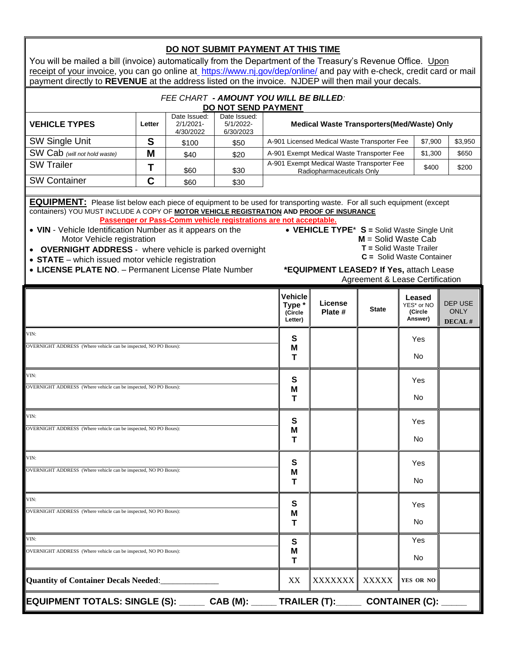| DO NOT SUBMIT PAYMENT AT THIS TIME                                                                                                                                                                                                                                                                                                                                                                                                                                                                                                                                                                                                                                                                                                                    |        |                                                                          |                                     |                                            |                                                                                           |                                            |              |                       |       |  |  |  |  |  |
|-------------------------------------------------------------------------------------------------------------------------------------------------------------------------------------------------------------------------------------------------------------------------------------------------------------------------------------------------------------------------------------------------------------------------------------------------------------------------------------------------------------------------------------------------------------------------------------------------------------------------------------------------------------------------------------------------------------------------------------------------------|--------|--------------------------------------------------------------------------|-------------------------------------|--------------------------------------------|-------------------------------------------------------------------------------------------|--------------------------------------------|--------------|-----------------------|-------|--|--|--|--|--|
| You will be mailed a bill (invoice) automatically from the Department of the Treasury's Revenue Office. Upon<br>receipt of your invoice, you can go online at https://www.nj.gov/dep/online/ and pay with e-check, credit card or mail                                                                                                                                                                                                                                                                                                                                                                                                                                                                                                                |        |                                                                          |                                     |                                            |                                                                                           |                                            |              |                       |       |  |  |  |  |  |
| payment directly to REVENUE at the address listed on the invoice. NJDEP will then mail your decals.                                                                                                                                                                                                                                                                                                                                                                                                                                                                                                                                                                                                                                                   |        |                                                                          |                                     |                                            |                                                                                           |                                            |              |                       |       |  |  |  |  |  |
| FEE CHART - AMOUNT YOU WILL BE BILLED:                                                                                                                                                                                                                                                                                                                                                                                                                                                                                                                                                                                                                                                                                                                |        |                                                                          |                                     |                                            |                                                                                           |                                            |              |                       |       |  |  |  |  |  |
|                                                                                                                                                                                                                                                                                                                                                                                                                                                                                                                                                                                                                                                                                                                                                       |        |                                                                          | DO NOT SEND PAYMENT<br>Date Issued: |                                            |                                                                                           |                                            |              |                       |       |  |  |  |  |  |
| <b>VEHICLE TYPES</b>                                                                                                                                                                                                                                                                                                                                                                                                                                                                                                                                                                                                                                                                                                                                  | Letter | Date Issued:<br>$2/1/2021 -$<br>4/30/2022                                |                                     | Medical Waste Transporters(Med/Waste) Only |                                                                                           |                                            |              |                       |       |  |  |  |  |  |
| <b>SW Single Unit</b>                                                                                                                                                                                                                                                                                                                                                                                                                                                                                                                                                                                                                                                                                                                                 | S      | A-901 Licensed Medical Waste Transporter Fee<br>\$7,900<br>\$50<br>\$100 |                                     |                                            |                                                                                           |                                            |              |                       |       |  |  |  |  |  |
| SW Cab (will not hold waste)                                                                                                                                                                                                                                                                                                                                                                                                                                                                                                                                                                                                                                                                                                                          | M      | \$40                                                                     | \$20                                |                                            |                                                                                           | A-901 Exempt Medical Waste Transporter Fee |              | \$1,300               | \$650 |  |  |  |  |  |
| <b>SW Trailer</b>                                                                                                                                                                                                                                                                                                                                                                                                                                                                                                                                                                                                                                                                                                                                     | T      | \$60                                                                     | \$30                                |                                            | A-901 Exempt Medical Waste Transporter Fee<br>\$200<br>\$400<br>Radiopharmaceuticals Only |                                            |              |                       |       |  |  |  |  |  |
| <b>SW Container</b>                                                                                                                                                                                                                                                                                                                                                                                                                                                                                                                                                                                                                                                                                                                                   | C      | \$60                                                                     | \$30                                |                                            |                                                                                           |                                            |              |                       |       |  |  |  |  |  |
| <b>EQUIPMENT:</b> Please list below each piece of equipment to be used for transporting waste. For all such equipment (except<br>containers) YOU MUST INCLUDE A COPY OF MOTOR VEHICLE REGISTRATION AND PROOF OF INSURANCE<br>Passenger or Pass-Comm vehicle registrations are not acceptable.<br>• VEHICLE TYPE* S = Solid Waste Single Unit<br>• VIN - Vehicle Identification Number as it appears on the<br>Motor Vehicle registration<br>$M =$ Solid Waste Cab<br>$T =$ Solid Waste Trailer<br><b>OVERNIGHT ADDRESS</b> - where vehicle is parked overnight<br>$C =$ Solid Waste Container<br>• STATE - which issued motor vehicle registration<br>• LICENSE PLATE NO. - Permanent License Plate Number<br>*EQUIPMENT LEASED? If Yes, attach Lease |        |                                                                          |                                     |                                            |                                                                                           |                                            |              |                       |       |  |  |  |  |  |
| Agreement & Lease Certification                                                                                                                                                                                                                                                                                                                                                                                                                                                                                                                                                                                                                                                                                                                       |        |                                                                          |                                     |                                            |                                                                                           |                                            |              |                       |       |  |  |  |  |  |
| <b>Vehicle</b><br>Leased<br>License<br><b>DEP USE</b><br>Type *<br>YES* or NO<br><b>State</b><br><b>ONLY</b><br>Plate #<br>(Circle<br>(Circle<br>Answer)<br>Letter)<br>DECAL#                                                                                                                                                                                                                                                                                                                                                                                                                                                                                                                                                                         |        |                                                                          |                                     |                                            |                                                                                           |                                            |              |                       |       |  |  |  |  |  |
| VIN:                                                                                                                                                                                                                                                                                                                                                                                                                                                                                                                                                                                                                                                                                                                                                  |        |                                                                          |                                     | S                                          |                                                                                           |                                            | Yes          |                       |       |  |  |  |  |  |
| OVERNIGHT ADDRESS (Where vehicle can be inspected, NO PO Boxes):                                                                                                                                                                                                                                                                                                                                                                                                                                                                                                                                                                                                                                                                                      |        |                                                                          |                                     | M<br>т                                     |                                                                                           |                                            | No           |                       |       |  |  |  |  |  |
| VIN:                                                                                                                                                                                                                                                                                                                                                                                                                                                                                                                                                                                                                                                                                                                                                  |        |                                                                          |                                     |                                            | S                                                                                         |                                            |              | Yes                   |       |  |  |  |  |  |
| OVERNIGHT ADDRESS (Where vehicle can be inspected, NO PO Boxes):                                                                                                                                                                                                                                                                                                                                                                                                                                                                                                                                                                                                                                                                                      |        |                                                                          |                                     |                                            | M<br>т                                                                                    |                                            |              | No.                   |       |  |  |  |  |  |
| VIN:                                                                                                                                                                                                                                                                                                                                                                                                                                                                                                                                                                                                                                                                                                                                                  |        |                                                                          |                                     |                                            |                                                                                           |                                            |              |                       |       |  |  |  |  |  |
| OVERNIGHT ADDRESS (Where vehicle can be inspected, NO PO Boxes):                                                                                                                                                                                                                                                                                                                                                                                                                                                                                                                                                                                                                                                                                      |        |                                                                          |                                     | S<br>M<br>т                                |                                                                                           |                                            | Yes<br>No    |                       |       |  |  |  |  |  |
| VIN:                                                                                                                                                                                                                                                                                                                                                                                                                                                                                                                                                                                                                                                                                                                                                  |        |                                                                          |                                     |                                            | S                                                                                         |                                            |              |                       |       |  |  |  |  |  |
| OVERNIGHT ADDRESS (Where vehicle can be inspected, NO PO Boxes):                                                                                                                                                                                                                                                                                                                                                                                                                                                                                                                                                                                                                                                                                      |        |                                                                          |                                     | M<br>т                                     |                                                                                           |                                            | Yes<br>No    |                       |       |  |  |  |  |  |
| VIN:                                                                                                                                                                                                                                                                                                                                                                                                                                                                                                                                                                                                                                                                                                                                                  |        |                                                                          |                                     |                                            |                                                                                           |                                            |              |                       |       |  |  |  |  |  |
| OVERNIGHT ADDRESS (Where vehicle can be inspected, NO PO Boxes):                                                                                                                                                                                                                                                                                                                                                                                                                                                                                                                                                                                                                                                                                      |        |                                                                          |                                     |                                            | S<br>M<br>т                                                                               |                                            |              | Yes<br>No             |       |  |  |  |  |  |
| VIN:                                                                                                                                                                                                                                                                                                                                                                                                                                                                                                                                                                                                                                                                                                                                                  |        |                                                                          |                                     | S                                          |                                                                                           |                                            | Yes          |                       |       |  |  |  |  |  |
| OVERNIGHT ADDRESS (Where vehicle can be inspected, NO PO Boxes):                                                                                                                                                                                                                                                                                                                                                                                                                                                                                                                                                                                                                                                                                      |        |                                                                          |                                     |                                            | M<br>т                                                                                    |                                            |              | No                    |       |  |  |  |  |  |
| <b>Quantity of Container Decals Needed:</b>                                                                                                                                                                                                                                                                                                                                                                                                                                                                                                                                                                                                                                                                                                           |        |                                                                          |                                     |                                            | XX                                                                                        | <b>XXXXXXX</b>                             | <b>XXXXX</b> | YES OR NO             |       |  |  |  |  |  |
| EQUIPMENT TOTALS: SINGLE (S): ______ CAB (M): _____ TRAILER (T):_____                                                                                                                                                                                                                                                                                                                                                                                                                                                                                                                                                                                                                                                                                 |        |                                                                          |                                     |                                            |                                                                                           |                                            |              | <b>CONTAINER (C):</b> |       |  |  |  |  |  |

╗

 $\mathbb{F}$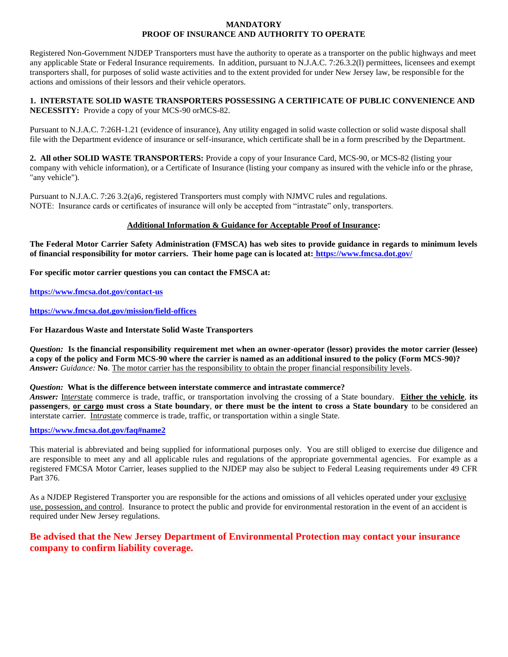#### **MANDATORY PROOF OF INSURANCE AND AUTHORITY TO OPERATE**

Registered Non-Government NJDEP Transporters must have the authority to operate as a transporter on the public highways and meet any applicable State or Federal Insurance requirements. In addition, pursuant to N.J.A.C. 7:26.3.2(l) permittees, licensees and exempt transporters shall, for purposes of solid waste activities and to the extent provided for under New Jersey law, be responsible for the actions and omissions of their lessors and their vehicle operators.

#### **1. INTERSTATE SOLID WASTE TRANSPORTERS POSSESSING A CERTIFICATE OF PUBLIC CONVENIENCE AND NECESSITY:** Provide a copy of your MCS-90 orMCS-82.

Pursuant to N.J.A.C. 7:26H-1.21 (evidence of insurance), Any utility engaged in solid waste collection or solid waste disposal shall file with the Department evidence of insurance or self-insurance, which certificate shall be in a form prescribed by the Department.

**2. All other SOLID WASTE TRANSPORTERS:** Provide a copy of your Insurance Card, MCS-90, or MCS-82 (listing your company with vehicle information), or a Certificate of Insurance (listing your company as insured with the vehicle info or the phrase, "any vehicle").

Pursuant to N.J.A.C. 7:26 3.2(a)6, registered Transporters must comply with NJMVC rules and regulations. NOTE: Insurance cards or certificates of insurance will only be accepted from "intrastate" only, transporters.

#### **Additional Information & Guidance for Acceptable Proof of Insurance:**

**The Federal Motor Carrier Safety Administration (FMSCA) has web sites to provide guidance in regards to minimum levels of financial responsibility for motor carriers. Their home page can is located at: <https://www.fmcsa.dot.gov/>**

**For specific motor carrier questions you can contact the FMSCA at:**

**<https://www.fmcsa.dot.gov/contact-us>**

#### **<https://www.fmcsa.dot.gov/mission/field-offices>**

#### **For Hazardous Waste and Interstate Solid Waste Transporters**

*Question:* **Is the financial responsibility requirement met when an owner-operator (lessor) provides the motor carrier (lessee) a copy of the policy and Form MCS-90 where the carrier is named as an additional insured to the policy (Form MCS-90)?** *Answer: Guidance:* **No**. The motor carrier has the responsibility to obtain the proper financial responsibility levels.

#### *Question:* **What is the difference between interstate commerce and intrastate commerce?** 56

*Answer:* Int*er*state commerce is trade, traffic, or transportation involving the crossing of a State boundary. **Either the vehicle**, **its passengers**, **or cargo must cross a State boundary**, **or there must be the intent to cross a State boundary** to be considered an interstate carrier. Int*ra*state commerce is trade, traffic, or transportation within a single State.

### **<https://www.fmcsa.dot.gov/faq#name2>**

This material is abbreviated and being supplied for informational purposes only. You are still obliged to exercise due diligence and are responsible to meet any and all applicable rules and regulations of the appropriate governmental agencies. For example as a registered FMCSA Motor Carrier, leases supplied to the NJDEP may also be subject to Federal Leasing requirements under 49 CFR Part 376.

As a NJDEP Registered Transporter you are responsible for the actions and omissions of all vehicles operated under your exclusive use, possession, and control. Insurance to protect the public and provide for environmental restoration in the event of an accident is required under New Jersey regulations.

## **Be advised that the New Jersey Department of Environmental Protection may contact your insurance company to confirm liability coverage.**